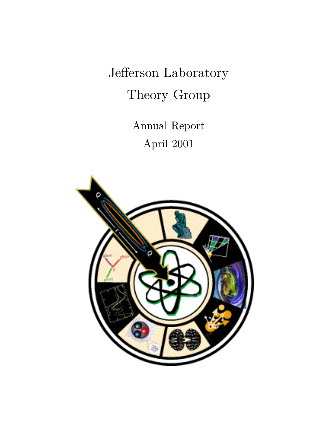Jefferson Laboratory Theory Group

> Annual Report April 2001

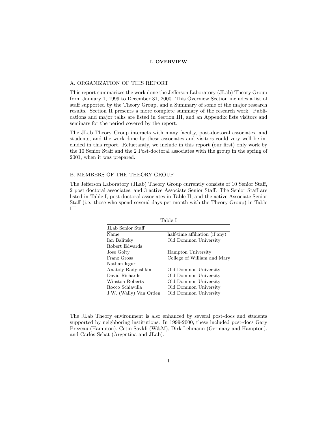#### **I. OVERVIEW**

#### A. ORGANIZATION OF THIS REPORT

This report summarizes the work done the Jefferson Laboratory (JLab) Theory Group from January 1, 1999 to December 31, 2000. This Overview Section includes a list of staff supported by the Theory Group, and a Summary of some of the major research results. Section II presents a more complete summary of the research work. Publications and major talks are listed in Section III, and an Appendix lists visitors and seminars for the period covered by the report.

The JLab Theory Group interacts with many faculty, post-doctoral associates, and students, and the work done by these associates and visitors could very well be included in this report. Reluctantly, we include in this report (our first) only work by the 10 Senior Staff and the 2 Post-doctoral associates with the group in the spring of 2001, when it was prepared.

#### B. MEMBERS OF THE THEORY GROUP

The Jefferson Laboratory (JLab) Theory Group currently consists of 10 Senior Staff, 2 post doctoral associates, and 3 active Associate Senior Staff. The Senior Staff are listed in Table I, post doctoral associates in Table II, and the active Associate Senior Staff (i.e. those who spend several days per month with the Theory Group) in Table III.

|                        | Table I                        |
|------------------------|--------------------------------|
| JLab Senior Staff      |                                |
| Name                   | half-time affiliation (if any) |
| Ian Balitsky           | Old Dominon University         |
| Robert Edwards         |                                |
| Jose Goity             | Hampton University             |
| Franz Gross            | College of William and Mary    |
| Nathan Isgur           |                                |
| Anatoly Radyushkin     | Old Dominon University         |
| David Richards         | Old Dominon University         |
| Winston Roberts        | Old Dominon University         |
| Rocco Schiavilla       | Old Dominon University         |
| J.W. (Wally) Van Orden | Old Dominon University         |

The JLab Theory environment is also enhanced by several post-docs and students supported by neighboring institutions. In 1999-2000, these included post-docs Gary Prezeau (Hampton), Cetin Savkli (W&M), Dirk Lehmann (Germany and Hampton), and Carlos Schat (Argentina and JLab).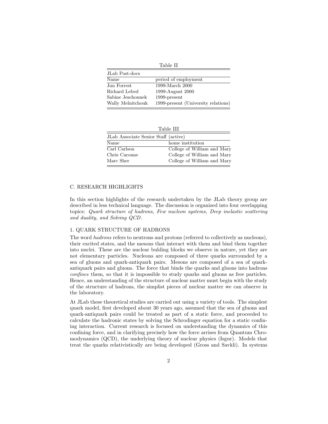Table II

| JLab Post-docs    |                                     |
|-------------------|-------------------------------------|
| Name              | period of employment                |
| Jun Forrest       | 1999-March 2000                     |
| Richard Lebed     | 1999-August 2000                    |
| Sabine Jeschonnek | $1999$ -present                     |
| Wally Melnitchouk | 1999-present (University relations) |

| Table III                            |                             |  |
|--------------------------------------|-----------------------------|--|
| JLab Associate Senior Staff (active) |                             |  |
| Name                                 | home institution            |  |
| Carl Carlson                         | College of William and Mary |  |
| Chris Caronne                        | College of William and Mary |  |
| Marc Sher                            | College of William and Mary |  |

## C. RESEARCH HIGHLIGHTS

In this section highlights of the research undertaken by the JLab theory group are described in less technical language. The discussion is organized into four overlapping topics: Quark structure of hadrons, Few nucleon systems, Deep inelastic scattering and duality, and Solving QCD.

## 1. QUARK STRUCTURE OF HADRONS

The word hadrons refers to neutrons and protons (referred to collectively as nucleons), their excited states, and the mesons that interact with them and bind them together into nuclei. These are the nuclear bulding blocks we observe in nature, yet they are not elementary particles. Nucleons are composed of three quarks surrounded by a sea of gluons and quark-antiquark pairs. Mesons are composed of a sea of quarkantiquark pairs and gluons. The force that binds the quarks and gluons into hadrons confines them, so that it is impossible to study quarks and gluons as free particles. Hence, an understanding of the structure of nuclear matter must begin with the study of the structure of hadrons, the simplist pieces of nuclear matter we can observe in the laboratory.

At JLab these theoretical studies are carried out using a variety of tools. The simplest quark model, first developed about 30 years ago, assumed that the sea of gluons and quark-antiquark pairs could be treated as part of a static force, and proceeded to calculate the hadronic states by solving the Schrodinger equation for a static confining interaction. Current research is focused on understanding the dynamics of this confining force, and in clarifying precisely how the force arrises from Quantum Chromodynamics (QCD), the underlying theory of nuclear physics (Isgur). Models that treat the quarks relativistically are being developed (Gross and Savkli). In systems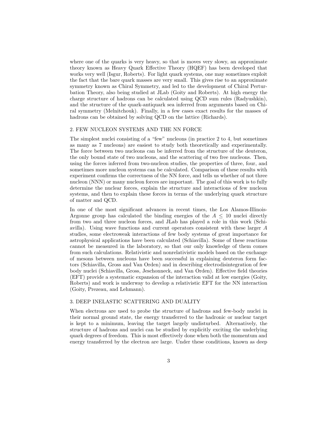where one of the quarks is very heavy, so that is moves very slowy, an approximate theory known as Heavy Quark Effective Theory (HQEF) has been developed that works very well (Isgur, Roberts). For light quark systems, one may sometimes exploit the fact that the bare quark masses are very small. This gives rise to an approximate symmetry known as Chiral Symmetry, and led to the development of Chiral Perturbation Theory, also being studied at JLab (Goity and Roberts). At high energy the charge structure of hadrons can be calculated using QCD sum rules (Radyushkin), and the structure of the quark-antiquark sea inferred from arguments based on Chiral symmetry (Melnitchouk). Finally, in a few cases exact results for the masses of hadrons can be obtained by solving QCD on the lattice (Richards).

# 2. FEW NUCLEON SYSTEMS AND THE NN FORCE

The simplest nuclei consisting of a "few" nucleons (in practice 2 to 4, but sometimes as many as 7 nucleons) are easiest to study both theoretically and experimentally. The force between two nucleons can be inferred from the structure of the deuteron, the only bound state of two nucleons, and the scattering of two free nucleons. Then, using the forces inferred from two-nucleon studies, the properties of three, four, and sometimes more nucleon systems can be calculated. Comparison of these results with experiment confirms the correctness of the NN force, and tells us whether of not three nucleon (NNN) or many nucleon forces are important. The goal of this work is to fully determine the nuclear forces, explain the structure and interactions of few nucleon systems, and then to explain these forces in terms of the underlying quark structure of matter and QCD.

In one of the most significant advances in recent times, the Los Alamos-Illinois-Argonne group has calculated the binding energies of the  $A \leq 10$  nuclei directly from two and three nucleon forces, and JLab has played a role in this work (Schiavilla). Using wave functions and current operators consistent with these larger *A* studies, some electroweak interactions of few body systems of great importance for astrophysical applications have been calculated (Schiavilla). Some of these reactions cannot be measured in the laboratory, so that our only knowledge of them comes from such calculations. Relativistic and nonrelativistic models based on the exchange of mesons between nucleons have been successful in explaining deuteron form factors (Schiavilla, Gross and Van Orden) and in describing electrodisintegration of few body nuclei (Schiavilla, Gross, Jeschonneck, and Van Orden). Effective field theories (EFT) provide a systematic expansion of the interaction valid at low energies (Goity, Roberts) and work is underway to develop a relativistic EFT for the NN interaction (Goity, Prezeau, and Lehmann).

#### 3. DEEP INELASTIC SCATTERING AND DUALITY

When electrons are used to probe the structure of hadrons and few-body nuclei in their normal ground state, the energy transferred to the hadronic or nuclear target is kept to a minimum, leaving the target largely undisturbed. Alternatively, the structure of hadrons and nuclei can be studied by explicitly exciting the underlying quark degrees of freedom. This is most effectively done when both the momentum and energy transferred by the electron are large. Under these conditions, known as deep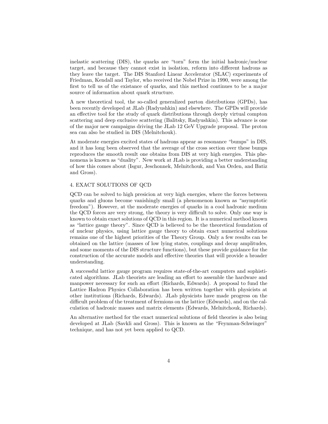inelastic scattering (DIS), the quarks are "torn" form the initial hadronic/nuclear target, and because they cannot exist in isolation, reform into different hadrons as they leave the target. The DIS Stanford Linear Accelerator (SLAC) experiments of Friedman, Kendall and Taylor, who received the Nobel Prize in 1990, were among the first to tell us of the existance of quarks, and this method continues to be a major source of information about quark structure.

A new theoretical tool, the so-called generalized parton distributions (GPDs), has been recently developed at JLab (Radyushkin) and elsewhere. The GPDs will provide an effective tool for the study of quark distributions through deeply virtual compton scattering and deep exclusive scattering (Balitsky, Radyushkin). This advance is one of the major new campaigns driving the JLab 12 GeV Upgrade proposal. The proton sea can also be studied in DIS (Melnitchouk).

At moderate energies excited states of hadrons appear as resonance "bumps" in DIS, and it has long been observed that the average of the cross section over these bumps reproduces the smooth result one obtains from DIS at very high energies. This phenomena is known as "duality". New work at JLab is providing a better understanding of how this comes about (Isgur, Jeschonnek, Melnitchouk, and Van Orden, and Batiz and Gross).

# 4. EXACT SOLUTIONS OF QCD

QCD can be solved to high presicion at very high energies, where the forces between quarks and gluons become vanishingly small (a phenomenon known as "asymptotic freedom"). However, at the moderate energies of quarks in a cool hadronic medium the QCD forces are very strong, the theory is very difficult to solve. Only one way is known to obtain exact solutions of QCD in this region. It is a numerical method known as "lattice gauge theory". Since QCD is believed to be the theoretical foundation of of nuclear physics, using lattice gauge theory to obtain exact numerical solutions remains one of the highest priorities of the Theory Group. Only a few results can be obtained on the lattice (masses of low lying states, couplings and decay amplitudes, and some moments of the DIS structure functions), but these provide guidance for the construction of the accurate models and effective theories that will provide a broader understanding.

A successful lattice gauge program requires state-of-the-art computers and sophisticated algorithms. JLab theorists are leading an effort to assemble the hardware and manpower necessary for such an effort (Richards, Edwards). A proposal to fund the Lattice Hadron Physics Collaboration has been written together with physicists at other institutions (Richards, Edwards). JLab physicists have made progress on the difficult problem of the treatment of fermions on the lattice (Edwards), and on the calculation of hadronic masses and matrix elements (Edwards, Melnitchouk, Richards).

An alternative method for the exact numerical solutions of field theories is also being developed at JLab (Savkli and Gross). This is known as the "Feynman-Schwinger" technique, and has not yet been applied to QCD.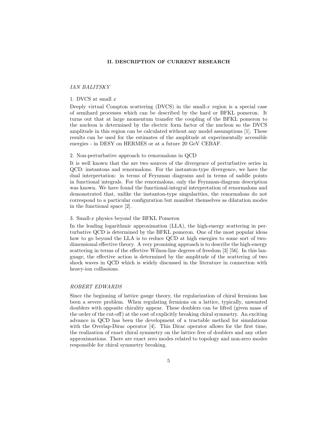## **II. DESCRIPTION OF CURRENT RESEARCH**

## IANBALITSKY

## 1. DVCS at small *x*

Deeply virtual Compton scattering  $(DVCS)$  in the small-x region is a special case of semihard processes which can be described by the hard or BFKL pomeron. It turns out that at large momentum transfer the coupling of the BFKL pomeron to the nucleon is determined by the electric form factor of the nucleon so the DVCS amplitude in this region can be calculated without any model assumptions [1]. These results can be used for the estimates of the amplitude at experimentally accessible energies - in DESY on HERMES or at a future 20 GeV CEBAF.

#### 2. Non-perturbative approach to renormalons in QCD

It is well known that the are two sources of the divergence of perturbative series in QCD: instantons and renormalons. For the instanton-type divergence, we have the dual interpretation: in terms of Feynman diagrams and in terms of saddle points in functional integrals. For the renormalons, only the Feynman-diagram description was known. We have found the functional-integral interpretation of renormalons and demonstrated that, unlike the instanton-type singularities, the renormalons do not correspond to a particular configuration but manifest themselves as dilatation modes in the functional space [2].

## 3. Small-*x* physics beyond the BFKL Pomeron

In the leading logarithmic approximation (LLA), the high-energy scattering in perturbative QCD is determined by the BFKL pomeron. One of the most popular ideas how to go beyond the LLA is to reduce QCD at high energies to some sort of twodimensional effective theory. A very promising approach is to describe the high-energy scattering in terms of the effective Wilson-line degrees of freedom [3] [56]. In this language, the effective action is determined by the amplitude of the scattering of two shock waves in QCD which is widely discussed in the literature in connection with heavy-ion collisoions.

#### ROBERT EDWARDS

Since the beginning of lattice gauge theory, the regularization of chiral fermions has been a severe problem. When regulating fermions on a lattice, typically, unwanted doublers with opposite chirality appear. These doublers can be lifted (given mass of the order of the cut-off) at the cost of explicitly breaking chiral symmetry. An exciting advance in QCD has been the development of a tractable method for simulations with the Overlap-Dirac operator [4]. This Dirac operator allows for the first time, the realization of exact chiral symmetry on the lattice free of doublers and any other approximations. There are exact zero modes related to topology and non-zero modes responsible for chiral symmetry breaking.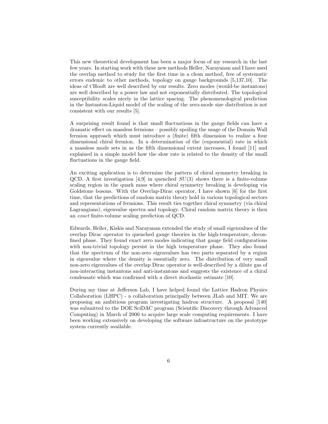This new theoretical development has been a major focus of my research in the last few years. In starting work with these new methods Heller, Narayanan and I have used the overlap method to study for the first time in a clean method, free of systematic errors endemic to other methods, topology on gauge backgrounds [5,137,10]. The ideas of t'Hooft are well described by our results. Zero modes (would-be instantons) are well described by a power law and not exponentially distributed. The topological susceptibility scales nicely in the lattice spacing. The phenomenological prediction in the Instanton-Liquid model of the scaling of the zero-mode size distribution is not consistent with our results [5].

A surprising result found is that small fluctuations in the gauge fields can have a dramatic effect on massless fermions – possibly spoiling the usage of the Domain Wall fermion approach which must introduce a (finite) fifth dimension to realize a four dimensional chiral fermion. In a determination of the (exponential) rate in which a massless mode sets in as the fifth dimensional extent increases, I found [11] and explained in a simple model how the slow rate is related to the density of the small fluctuations in the gauge field.

An exciting application is to determine the pattern of chiral symmetry breaking in QCD. A first investigation [4,9] in quenched *SU*(3) shows there is a finite-volume scaling region in the quark mass where chiral symmetry breaking is developing via Goldstone bosons. With the Overlap-Dirac operator, I have shown [6] for the first time, that the predictions of random matrix theory hold in various topological sectors and representations of fermions. This result ties together chiral symmetry (via chiral Lagrangians), eigenvalue spectra and topology. Chiral random matrix theory is then an exact finite-volume scaling prediction of QCD.

Edwards, Heller, Kiskis and Narayanan extended the study of small eigenvalues of the overlap Dirac operator to quenched gauge theories in the high-temperature, deconfined phase. They found exact zero modes indicating that gauge field configurations with non-trivial topology persist in the high temperature phase. They also found that the spectrum of the non-zero eigenvalues has two parts separated by a region in eigenvalue where the density is essentially zero. The distribution of very small non-zero eigenvalues of the overlap Dirac operator is well-described by a dilute gas of non-interacting instantons and anti-instantons and suggests the existence of a chiral condensate which was confirmed with a direct stochastic estimate [10].

During my time at Jefferson Lab, I have helped found the Lattice Hadron Physics Collaboration (LHPC) - a collaboration principally between JLab and MIT. We are proposing an ambitious program investigating hadron structure. A proposal [140] was submitted to the DOE SciDAC program (Scientific Discovery through Advanced Computing) in March of 2000 to acquire large scale computing requirements. I have been working extensively on developing the software infrastructure on the prototype system currently available.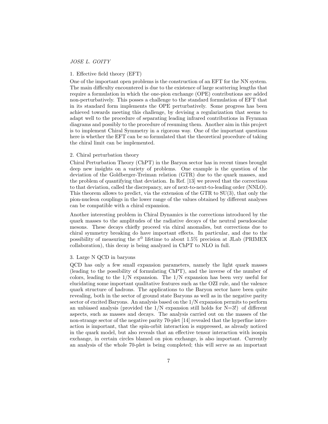#### JOSE L. GOITY

## 1. Effective field theory (EFT)

One of the important open problems is the construction of an EFT for the NN system. The main difficulty encountered is due to the existence of large scattering lengths that require a formulation in which the one-pion exchange (OPE) contributions are added non-perturbatively. This posses a challenge to the standard formulation of EFT that in its standard form implements the OPE perturbatively. Some progress has been achieved towards meeting this challenge, by devising a regularization that seems to adapt well to the procedure of separating leading infrared contributions in Feynman diagrams and possibly to the procedure of resuming them. Another aim in this project is to implement Chiral Symmetry in a rigorous way. One of the important questions here is whether the EFT can be so formulated that the theoretical procedure of taking the chiral limit can be implemented.

#### 2. Chiral perturbation theory

Chiral Perturbation Theory (ChPT) in the Baryon sector has in recent times brought deep new insights on a variety of problems. One example is the question of the deviation of the Goldberger-Treiman relation (GTR) due to the quark masses, and the problem of quantifying that deviation. In Ref. [13] we proved that the corrections to that deviation, called the discrepancy, are of next-to-next-to-leading order (NNLO). This theorem allows to predict, via the extension of the GTR to SU(3), that only the pion-nucleon couplings in the lower range of the values obtained by different analyses can be compatible with a chiral expansion.

Another interesting problem in Chiral Dynamics is the corrections introduced by the quark masses to the amplitudes of the radiative decays of the neutral pseudoscalar mesons. These decays chiefly proceed via chiral anomalies, but corrections due to chiral symmetry breaking do have important effects. In particular, and due to the possibility of measuring the  $\pi^0$  lifetime to about 1.5% precision at JLab (PRIMEX collaboration), this decay is being analyzed in ChPT to NLO in full.

## 3. Large N QCD in baryons

QCD has only a few small expansion parameters, namely the light quark masses (leading to the possibility of formulating ChPT), and the inverse of the number of colors, leading to the 1/N expansion. The 1/N expansion has been very useful for elucidating some important qualitative features such as the OZI rule, and the valence quark structure of hadrons. The applications to the Baryon sector have been quite revealing, both in the sector of ground state Baryons as well as in the negative parity sector of excited Baryons. An analysis based on the 1/N expansion permits to perform an unbiased analysis (provided the  $1/N$  expansion still holds for  $N=3!$ ) of different aspects, such as masses and decays. The analysis carried out on the masses of the non-strange sector of the negative parity 70-plet [14] revealed that the hyperfine interaction is important, that the spin-orbit interaction is suppressed, as already noticed in the quark model, but also reveals that an effective tensor interaction with isospin exchange, in certain circles blamed on pion exchange, is also important. Currently an analysis of the whole 70-plet is being completed; this will serve as an important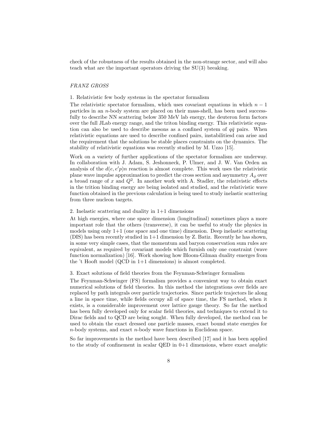check of the robustness of the results obtained in the non-strange sector, and will also teach what are the important operators driving the SU(3) breaking.

#### FRANZ GROSS

1. Relativistic few body systems in the spectator formalism

The relativistic spectator formalism, which uses covariant equations in which  $n-1$ particles in an *n*-body system are placed on their mass-shell, has been used successfully to describe NN scattering below 350 MeV lab energy, the deuteron form factors over the full JLab energy range, and the triton binding energy. This relativistic equation can also be used to describe mesons as a confined system of  $q\bar{q}$  pairs. When relativistic equations are used to describe confined pairs, instabilitiesd can arise and the requirement that the solutions be stable places constraints on the dynamics. The stability of relativistic equations was recently studied by M. Uzzo [15].

Work on a variety of further applications of the spectator formalism are underway. In collaboration with J. Adam, S. Jeshonneck, P. Ulmer, and J. W. Van Orden an analysis of the  $d(e, e'p)n$  reaction is almost complete. This work uses the relativistic plane wave impulse approximation to predict the cross section and asymmetry  $A_{\phi}$  over a broad range of  $x$  and  $Q^2$ . In another work with A. Stadler, the relativistic effects in the trition binding energy are being isolated and studied, and the relativistic wave function obtained in the previous calculation is being used to study inelastic scattering from three nucleon targets.

#### 2. Inelastic scattering and duality in 1+1 dimensions

At high energies, where one space dimension (longitudinal) sometimes plays a more important role that the others (transverse), it can be useful to study the physics in models using only 1+1 (one space and one time) dimension. Deep inelastic scattering (DIS) has been recently studied in 1+1 dimension by Z. Batiz. Recently he has shown, in some very simple cases, that the momentum and baryon conservation sum rules are equivalent, as required by covariant models which furnish only one constraint (wave function normalization) [16]. Work showing how Bloom-Gilman duality emerges from the 't Hooft model (QCD in 1+1 dimensions) is almost completed.

#### 3. Exact solutions of field theories from the Feynman-Schwinger formalism

The Feynman-Schwinger (FS) formalism provides a convenient way to obtain exact numerical solutions of field theories. In this method the integrations over fields are replaced by path integrals over particle trajectories. Since particle trajectors lie along a line in space time, while fields occupy all of space time, the FS method, when it exists, is a considerable improvement over lattice gauge theory. So far the method has been fully developed only for scalar field theories, and techniques to extend it to Dirac fields and to QCD are being sought. When fully developed, the method can be used to obtain the exact dressed one particle masses, exact bound state energies for *n*-body systems, and exact *n*-body wave functions in Euclidean space.

So far improvements in the method have been described [17] and it has been applied to the study of confinement in scalar QED in  $0+1$  dimensions, where exact *analytic*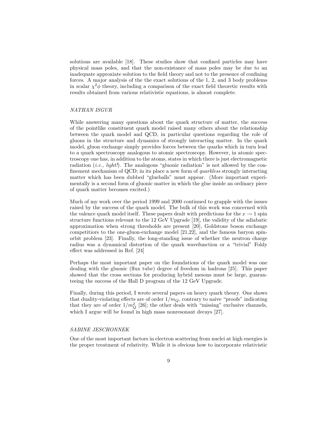solutions are available [18]. These studies show that confined particles may have physical mass poles, and that the non-existance of mass poles may be due to an inadequate approxiate solution to the field theory and not to the presence of confining forces. A major analysis of the the exact solutions of the 1, 2, and 3 body problems in scalar  $\chi^2\phi$  theory, including a comparison of the exact field theoretic results with results obtained from various relativistic equations, is almost complete.

#### NATHAN ISGUR

While answering many questions about the quark structure of matter, the success of the pointlike constituent quark model raised many others about the relationship between the quark model and QCD, in particular questions regarding the role of gluons in the structure and dynamics of strongly interacting matter. In the quark model, gluon exchange simply provides forces between the quarks which in turn lead to a quark spectroscopy analogous to atomic spectroscopy. However, in atomic spectroscopy one has, in addition to the atoms, states in which there is just electromagnetic radiation (*i.e.*, *light!*). The analogous "gluonic radiation" is not allowed by the confinement mechanism of QCD; in its place a new form of quarkless strongly interacting matter which has been dubbed "glueballs" must appear. (More important experimentally is a second form of gluonic matter in which the glue inside an ordinary piece of quark matter becomes excited.)

Much of my work over the period 1999 and 2000 continued to grapple with the issues raised by the success of the quark model. The bulk of this work was concerned with the valence quark model itself. These papers dealt with predictions for the  $x \to 1$  spin structure functions relevant to the 12 GeV Upgrade [19], the validity of the adiabatic approximation when strong thresholds are present [20], Goldstone boson exchange competitiors to the one-gluon-exchange model [21,22], and the famous baryon spinorbit problem [23]. Finally, the long-standing issue of whether the neutron charge radius was a dynamical distortion of the quark wavefunction or a "trivial" Foldy effect was addressed in Ref. [24]

Perhaps the most important paper on the foundations of the quark model was one dealing with the gluonic (flux tube) degree of freedom in hadrons [25]. This paper showed that the cross sections for producing hybrid mesons must be large, guaranteeing the success of the Hall D program of the 12 GeV Upgrade.

Finally, during this period, I wrote several papers on heavy quark theory. One shows that duality-violating effects are of order  $1/m_Q$ , contrary to naive "proofs" indicating that they are of order  $1/m_Q^2$  [26]; the other deals with "missing" exclusive channels, which I argue will be found in high mass nonresonant decays [27].

## SABINE JESCHONNEK

One of the most important factors in electron scattering from nuclei at high energies is the proper treatment of relativity. While it is obvious how to incorporate relativistic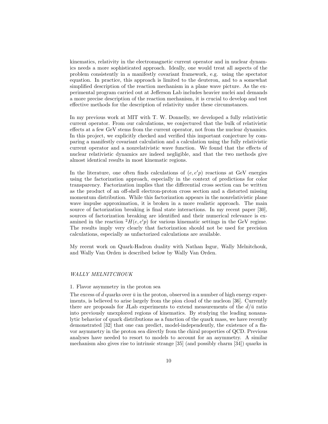kinematics, relativity in the electromagnetic current operator and in nuclear dynamics needs a more sophisticated approach. Ideally, one would treat all aspects of the problem consistently in a manifestly covariant framework, e.g. using the spectator equation. In practice, this approach is limited to the deuteron, and to a somewhat simplified description of the reaction mechanism in a plane wave picture. As the experimental program carried out at Jefferson Lab includes heavier nuclei and demands a more precise description of the reaction mechanism, it is crucial to develop and test effective methods for the description of relativity under these circumstances.

In my previous work at MIT with T. W. Donnelly, we developed a fully relativistic current operator. From our calculations, we conjectured that the bulk of relativistic effects at a few GeV stems from the current operator, not from the nuclear dynamics. In this project, we explicitly checked and verified this important conjecture by comparing a manifestly covariant calculation and a calculation using the fully relativistic current operator and a nonrelativistic wave function. We found that the effects of nuclear relativistic dynamics are indeed negligible, and that the two methods give almost identical results in most kinematic regions.

In the literature, one often finds calculations of  $(e, e'p)$  reactions at GeV energies using the factorization approach, especially in the context of predictions for color transparency. Factorization implies that the differential cross section can be written as the product of an off-shell electron-proton cross section and a distorted missing momentum distribution. While this factorization appears in the nonrelativistic plane wave impulse approximation, it is broken in a more realistic approach. The main source of factorization breaking is final state interactions. In my recent paper [30], sources of factorization breaking are identified and their numerical relevance is examined in the reaction  ${}^{2}H(e, e'p)$  for various kinematic settings in the GeV regime. The results imply very clearly that factorization should not be used for precision calculations, especially as unfactorized calculations are available.

My recent work on Quark-Hadron duality with Nathan Isgur, Wally Melnitchouk, and Wally Van Orden is described below by Wally Van Orden.

## WALLY MELNITCHOUK

#### 1. Flavor asymmetry in the proton sea

The excess of  $\bar{d}$  quarks over  $\bar{u}$  in the proton, observed in a number of high energy experiments, is believed to arise largely from the pion cloud of the nucleon [36]. Currently there are proposals for JLab experiments to extend measurements of the  $d/\bar{u}$  ratio into previously unexplored regions of kinematics. By studying the leading nonanalytic behavior of quark distributions as a function of the quark mass, we have recently demonstrated [32] that one can predict, model-independently, the existence of a flavor asymmetry in the proton sea directly from the chiral properties of QCD. Previous analyses have needed to resort to models to account for an asymmetry. A similar mechanism also gives rise to intrinsic strange [35] (and possibly charm [34]) quarks in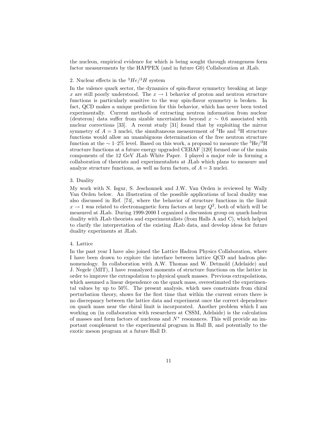the nucleon, empirical evidence for which is being sought through strangeness form factor measurements by the HAPPEX (and in future G0) Collaboration at JLab.

# 2. Nuclear effects in the  $^3He/^3H$  system

In the valence quark sector, the dynamics of spin-flavor symmetry breaking at large *x* are still poorly understood. The  $x \to 1$  behavior of proton and neutron structure functions is particularly sensitive to the way spin-flavor symmetry is broken. In fact, QCD makes a unique prediction for this behavior, which has never been tested experimentally. Current methods of extracting neutron information from nuclear (deuteron) data suffer from sizable uncertainties beyond *x* ∼ 0*.*6 associated with nuclear corrections [33]. A recent study [31] found that by exploiting the mirror symmetry of  $A = 3$  nuclei, the simultaneous measurement of <sup>3</sup>He and <sup>3</sup>H structure functions would allow an unambiguous determination of the free neutron structure function at the  $\sim 1-2\%$  level. Based on this work, a proposal to measure the <sup>3</sup>He/<sup>3</sup>H structure functions at a future energy upgraded CEBAF [120] formed one of the main components of the 12 GeV JLab White Paper. I played a major role in forming a collaboration of theorists and experimentalists at JLab which plans to measure and analyze structure functions, as well as form factors, of  $A = 3$  nuclei.

#### 3. Duality

My work with N. Isgur, S. Jeschonnek and J.W. Van Orden is reviewed by Wally Van Orden below. An illustration of the possible applications of local duality was also discussed in Ref. [74], where the behavior of structure functions in the limit  $x \to 1$  was related to electromagnetic form factors at large  $Q^2$ , both of which will be measured at JLab. During 1999-2000 I organized a discussion group on quark-hadron duality with JLab theorists and experimentalists (from Halls A and C), which helped to clarify the interpretation of the existing JLab data, and develop ideas for future duality experiments at JLab.

## 4. Lattice

In the past year I have also joined the Lattice Hadron Physics Collaboration, where I have been drawn to explore the interface between lattice QCD and hadron phenomenology. In collaboration with A.W. Thomas and W. Detmold (Adelaide) and J. Negele (MIT), I have reanalyzed moments of structure functions on the lattice in order to improve the extrapolation to physical quark masses. Previous extrapolations, which assumed a linear dependence on the quark mass, overestimated the experimental values by up to 50%. The present analysis, which uses constraints from chiral perturbation theory, shows for the first time that within the current errors there is no discrepancy between the lattice data and experiment once the correct dependence on quark mass near the chiral limit is incorporated. Another problem which I am working on (in collaboration with researchers at CSSM, Adelaide) is the calculation of masses and form factors of nucleons and *N*<sup>∗</sup> resonances. This will provide an important complement to the experimental program in Hall B, and potentially to the exotic meson program at a future Hall D.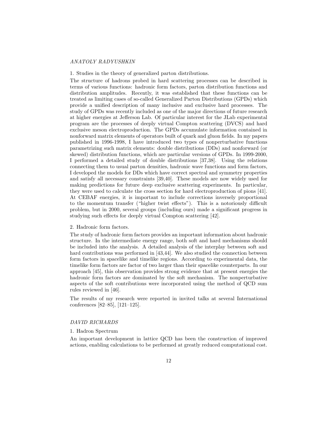## ANATOLY RADYUSHKIN

1. Studies in the theory of generalized parton distributions.

The structure of hadrons probed in hard scattering processes can be described in terms of various functions: hadronic form factors, parton distribution functions and distribution amplitudes. Recently, it was established that these functions can be treated as limiting cases of so-called Generalized Parton Distributions (GPDs) which provide a unified description of many inclusive and exclusive hard processes. The study of GPDs was recently included as one of the major directions of future research at higher energies at Jefferson Lab. Of particular interest for the JLab experimental program are the processes of deeply virtual Compton scattering (DVCS) and hard exclusive meson electroproduction. The GPDs accumulate information contained in nonforward matrix elements of operators built of quark and gluon fields. In my papers published in 1996-1998, I have introduced two types of nonperturbative functions parametrizing such matrix elements: double distributions (DDs) and nonforward (or skewed) distribution functions, which are particular versions of GPDs. In 1999-2000, I performed a detailed study of double distributions [37,38]. Using the relations connecting them to usual parton densities, hadronic wave functions and form factors, I developed the models for DDs which have correct spectral and symmetry properties and satisfy all necessary constraints [39,40]. These models are now widely used for making predictions for future deep exclusive scattering experiments. In particular, they were used to calculate the cross section for hard electroproduction of pions [41]. At CEBAF energies, it is important to include corrections inversely proportional to the momentum transfer ("higher twist effects"). This is a notoriously difficult problem, but in 2000, several groups (including ours) made a significant progress in studying such effects for deeply virtual Compton scattering [42].

#### 2. Hadronic form factors.

The study of hadronic form factors provides an important information about hadronic structure. In the intermediate energy range, both soft and hard mechanisms should be included into the analysis. A detailed analysis of the interplay between soft and hard contributions was performed in [43,44]. We also studied the connection between form factors in spacelike and timelike regions. According to experimental data, the timelike form factors are factor of two larger than their spacelike counterparts. In our approach [45], this observation provides strong evidence that at present energies the hadronic form factors are dominated by the soft mechanism. The nonperturbative aspects of the soft contributions were incorporated using the method of QCD sum rules reviewed in [46].

The results of my research were reported in invited talks at several International conferences [82–85], [121–125].

#### DAVID RICHARDS

## 1. Hadron Spectrum

An important development in lattice QCD has been the construction of improved actions, enabling calculations to be performed at greatly reduced computational cost.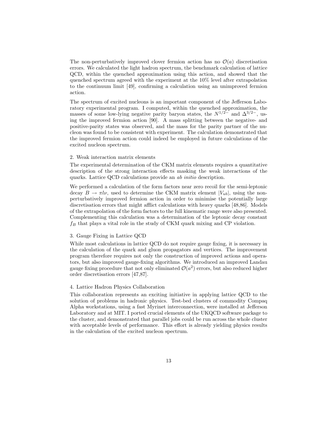The non-perturbatively improved clover fermion action has no  $\mathcal{O}(a)$  discretisation errors. We calculated the light hadron spectrum, the benchmark calculation of lattice QCD, within the quenched approximation using this action, and showed that the quenched spectrum agreed with the experiment at the 10% level after extrapolation to the continuum limit [49], confirming a calculation using an unimproved fermion action.

The spectrum of excited nucleons is an important component of the Jefferson Laboratory experimental program. I computed, within the quenched approximation, the masses of some low-lying negative parity baryon states, the  $N^{1/2-}$  and  $\Delta^{3/2-}$ , using the improved fermion action [90]. A mass splitting between the negative- and positive-parity states was observed, and the mass for the parity partner of the nucleon was found to be consistent with experiment. The calculation demonstrated that the improved fermion action could indeed be employed in future calculations of the excited nucleon spectrum.

#### 2. Weak interaction matrix elements

The experimental determination of the CKM matrix elements requires a quantitative description of the strong interaction effects masking the weak interactions of the quarks. Lattice QCD calculations provide an ab initio description.

We performed a calculation of the form factors near zero recoil for the semi-leptonic decay  $B \to \pi l \nu$ , used to determine the CKM matrix element  $|V_{ub}|$ , using the nonperturbatively improved fermion action in order to minimise the potentially large discretisation errors that might afflict calculations with heavy quarks [48,86]. Models of the extrapolation of the form factors to the full kinematic range were also presented. Complementing this calculation was a determination of the leptonic decay constant  $f_B$  that plays a vital role in the study of CKM quark mixing and CP violation.

#### 3. Gauge Fixing in Lattice QCD

While most calculations in lattice QCD do not require gauge fixing, it is necessary in the calculation of the quark and gluon propagators and vertices. The improvement program therefore requires not only the construction of improved actions and operators, but also improved gauge-fixing algorithms. We introduced an improved Landau gauge fixing procedure that not only eliminated  $\mathcal{O}(a^2)$  errors, but also reduced higher order discretisation errors [47,87].

#### 4. Lattice Hadron Physics Collaboration

This collaboration represents an exciting initiative in applying lattice QCD to the solution of problems in hadronic physics. Test-bed clusters of commodity Compaq Alpha workstations, using a fast Myrinet interconnection, were installed at Jefferson Laboratory and at MIT. I ported crucial elements of the UKQCD software package to the cluster, and demonstrated that parallel jobs could be run across the whole cluster with acceptable levels of performance. This effort is already yielding physics results in the calculation of the excited nucleon spectrum.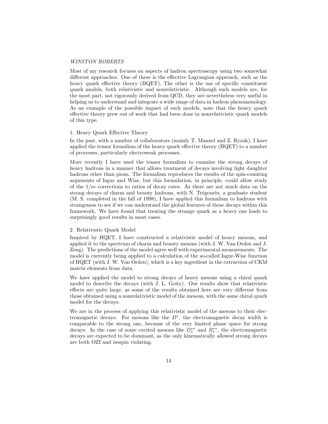### WINSTON ROBERTS

Most of my research focuses on aspects of hadron spectroscopy using two somewhat different approaches. One of these is the effective Lagrangian approach, such as the heavy quark effective theory (HQET). The other is the use of specific constituent quark models, both relativistic and nonrelativistic. Although such models are, for the most part, not rigorously derived from QCD, they are nevertheless very useful in helping us to understand and integrate a wide range of data in hadron phenomenology. As an example of the possible impact of such models, note that the heavy quark effective theory grew out of work that had been done in nonrelativistic quark models of this type.

#### 1. Heavy Quark Effective Theory

In the past, with a number of collaborators (mainly T. Mannel and Z. Ryzak), I have applied the tensor formalism of the heavy quark effective theory (HQET) to a number of processes, particularly electroweak processes.

More recently I have used the tensor formalism to examine the strong decays of heavy hadrons in a manner that allows treatment of decays involving light daughter hadrons other than pions. The formalism reproduces the results of the spin-counting arguments of Isgur and Wise, but this formulation, in principle, could allow study of the 1*/m* corrections to ratios of decay rates. As there are not much data on the strong decays of charm and beauty hadrons, with N. Trégourès, a graduate student (M. S. completed in the fall of 1998), I have applied this formalism to hadrons with strangeness to see if we can understand the global features of these decays within this framework. We have found that treating the strange quark as a heavy one leads to surprisingly good results in most cases.

#### 2. Relativistic Quark Model

Inspired by HQET, I have constructed a relativistic model of heavy mesons, and applied it to the spectrum of charm and beauty mesons (with J. W. Van Orden and J. Zeng). The predictions of the model agree well with experimental measurements. The model is currently being applied to a calculation of the so-called Isgur-Wise function of HQET (with J. W. Van Orden), which is a key ingredient in the extraction of CKM matrix elements from data.

We have applied the model to strong decays of heavy mesons using a chiral quark model to describe the decays (with J. L. Goity). Our results show that relativistic effects are quite large, as some of the results obtained here are very different from those obtained using a nonrelativistic model of the mesons, with the same chiral quark model for the decays.

We are in the process of applying this relativistic model of the mesons to their electromagnetic decays. For mesons like the  $D^*$ , the electromagnetic decay width is comparable to the strong one, because of the very limited phase space for strong decays. In the case of some excited mesons like  $D_s^{**}$  and  $B_s^{**}$ , the electromagnetic decays are expected to be dominant, as the only kinematically allowed strong decays are both OZI and isospin violating.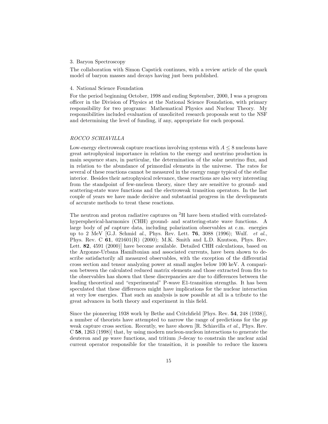#### 3. Baryon Spectroscopy

The collaboration with Simon Capstick continues, with a review article of the quark model of baryon masses and decays having just been published.

## 4. National Science Foundation

For the period beginning October, 1998 and ending September, 2000, I was a progrom officer in the Division of Physics at the National Science Foundation, with primary responsibility for two programs: Mathematical Physics and Nuclear Theory. My responsibilities included evaluation of unsolicited research proposals sent to the NSF and determining the level of funding, if any, appropriate for each proposal.

## ROCCO SCHIAVILLA

Low-energy electroweak capture reactions involving systems with  $A \leq 8$  nucleons have great astrophysical importance in relation to the energy and neutrino production in main sequence stars, in particular, the determination of the solar neutrino flux, and in relation to the abundance of primordial elements in the universe. The rates for several of these reactions cannot be measured in the energy range typical of the stellar interior. Besides their astrophysical relevance, these reactions are also very interesting from the standpoint of few-nucleon theory, since they are sensitive to ground- and scattering-state wave functions and the electroweak transition operators. In the last couple of years we have made decisive and substantial progress in the developments of accurate methods to treat these reactions.

The neutron and proton radiative captures on  ${}^{2}H$  have been studied with correlatedhyperspherical-harmonics (CHH) ground- and scattering-state wave functions. A large body of *pd* capture data, including polarization observables at c.m. energies up to 2 MeV [G.J. Schmid al., Phys. Rev. Lett. **76**, 3088 (1996); Wulf. et al., Phys. Rev. C **61**, 021601(R) (2000); M.K. Smith and L.D. Knutson, Phys. Rev. Lett. **82**, 4591 (2000)] have become available. Detailed CHH calculations, based on the Argonne-Urbana Hamiltonian and associated currents, have been shown to describe satisfactorily all measured observables, with the exception of the differential cross section and tensor analyzing power at small angles below 100 keV. A comparison between the calculated reduced matrix elements and those extracted from fits to the observables has shown that these discrepancies are due to differences between the leading theoretical and "experimental" P-wave E1-transition strengths. It has been speculated that these differences might have implications for the nuclear interaction at very low energies. That such an analysis is now possible at all is a tribute to the great advances in both theory and experiment in this field.

Since the pioneering 1938 work by Bethe and Critchfield [Phys. Rev. **54**, 248 (1938)], a number of theorists have attempted to narrow the range of predictions for the *pp* weak capture cross section. Recently, we have shown  $[R.$  Schiavilla *et al.*, Phys. Rev. C **58**, 1263 (1998)] that, by using modern nucleon-nucleon interactions to generate the deuteron and *pp* wave functions, and tritium *β*-decay to constrain the nuclear axial current operator responsible for the transition, it is possible to reduce the known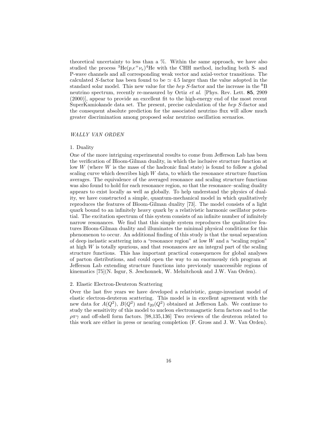theoretical uncertainty to less than a %. Within the same approach, we have also studied the process  ${}^{3}He(p,e^+\nu_e){}^{4}He$  with the CHH method, including both S- and P-wave channels and all corresponding weak vector and axial-vector transitions. The calculated *S*-factor has been found to be  $\simeq 4.5$  larger than the value adopted in the standard solar model. This new value for the *hep S*-factor and the increase in the <sup>8</sup>B neutrino spectrum, recently re-measured by Ortiz et al. [Phys. Rev. Lett. **85**, 2909 (2000)], appear to provide an excellent fit to the high-energy end of the most recent SuperKamiokande data set. The present, precise calculation of the *hep S*-factor and the consequent absolute prediction for the associated neutrino flux will allow much greater discrimination among proposed solar neutrino oscillation scenarios.

## WALLY VAN ORDEN

#### 1. Duality

One of the more intriguing experimental results to come from Jefferson Lab has been the verification of Bloom-Gilman duality, in which the inclusive structure function at low *W* (where *W* is the mass of the hadronic final state) is found to follow a global scaling curve which describes high *W* data, to which the resonance structure function averages. The equivalence of the averaged resonance and scaling structure functions was also found to hold for each resonance region, so that the resonance–scaling duality appears to exist locally as well as globally. To help understand the physics of duality, we have constructed a simple, quantum-mechanical model in which qualitatively reproduces the features of Bloom-Gilman duality [73]. The model consists of a light quark bound to an infinitely heavy quark by a relativistic harmonic oscillator potential. The excitation spectrum of this system consists of an infinite number of infinitely narrow resonances. We find that this simple system reproduces the qualitative features Bloom-Gilman duality and illuminates the minimal physical conditions for this phenomenon to occur. An additional finding of this study is that the usual separation of deep inelastic scattering into a "resonance region" at low *W* and a "scaling region" at high *W* is totally spurious, and that resonances are an integral part of the scaling structure functions. This has important practical consequences for global analyses of parton distributions, and could open the way to an enormously rich program at Jefferson Lab extending structure functions into previously unaccessible regions of kinematics [75](N. Isgur, S. Jeschonnek, W. Melnitchouk and J.W. Van Orden).

#### 2. Elastic Electron-Deuteron Scattering

Over the last five years we have developed a relativistic, gauge-invariant model of elastic electron-deuteron scattering. This model is in excellent agreement with the new data for  $A(Q^2)$ ,  $B(Q^2)$  and  $t_{20}(Q^2)$  obtained at Jefferson Lab. We continue to study the sensitivity of this model to nucleon electromagnetic form factors and to the *ρπγ* and off-shell form factors. [98,135,136] Two reviews of the deuteron related to this work are either in press or nearing completion (F. Gross and J. W. Van Orden).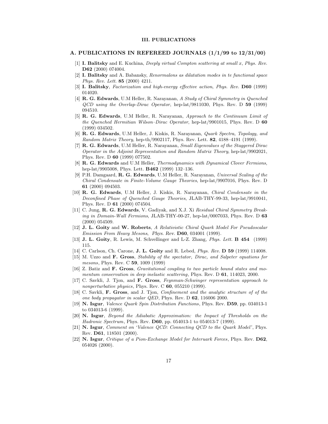#### **III. PUBLICATIONS**

## **A. PUBLICATIONS IN REFEREED JOURNALS (1/1/99 to 12/31/00)**

- [1] **I. Balitsky** and E. Kuchina, *Deeply virtual Compton scattering at small* x, *Phys. Rev.* **D62** (2000) 074004.
- [2] **I. Balitsky** and A. Babansky, *Renormalons as dilatation modes in te functional space Phys. Rev. Lett.* **85** (2000) 4211.
- [3] **I. Balitsky**, *Factorization and high-energy effective action*, *Phys. Rev.* **D60** (1999) 014020.
- [4] **R. G. Edwards**, U.M Heller, R. Narayanan, *A Study of Chiral Symmetry in Quenched QCD using the Overlap-Dirac Operator*, hep-lat/9811030, Phys. Rev. D **59** (1999) 094510.
- [5] **R. G. Edwards**, U.M Heller, R. Narayanan, *Approach to the Continuum Limit of the Quenched Hermitian Wilson–Dirac Operator*, hep-lat/9901015, Phys. Rev. D **60** (1999) 034502.
- [6] **R. G. Edwards**, U.M Heller, J. Kiskis, R. Narayanan, *Quark Spectra, Topology, and Random Matrix Theory*, hep-th/9902117, Phys. Rev. Lett. **82**, 4188–4191 (1999).
- [7] **R. G. Edwards**, U.M Heller, R. Narayanan, *Small Eigenvalues of the Staggered Dirac Operator in the Adjoint Representation and Random Matrix Theory*, hep-lat/9902021, Phys. Rev. D **60** (1999) 077502.
- [8] **R. G. Edwards** and U.M Heller, *Thermodynamics with Dynamical Clover Fermions*, hep-lat/9905008, Phys. Lett. **B462** (1999) 132–136.
- [9] P.H. Damgaard, **R. G. Edwards**, U.M Heller, R. Narayanan, *Universal Scaling of the Chiral Condensate in Finite-Volume Gauge Theories*, hep-lat/9907016, Phys. Rev. D **61** (2000) 094503.
- [10] **R. G. Edwards**, U.M Heller, J. Kiskis, R. Narayanan, *Chiral Condensate in the Deconfined Phase of Quenched Gauge Theories*, JLAB-THY-99-33, hep-lat/9910041, Phys. Rev. D **61** (2000) 074504.
- [11] C. Jung, **R. G. Edwards**, V. Gadiyak, and X.J. Xi *Residual Chiral Symmetry Breaking in Domain-Wall Fermions*, JLAB-THY-00-27, hep-lat/0007033, Phys. Rev. D **63** (2000) 054509.
- [12] **J. L. Goity** and **W. Roberts**, *A Relativistic Chiral Quark Model For Pseudoscalar Emission From Heavy Mesons*, *Phys. Rev.* **D60**, 034001 (1999).
- [13] **J. L. Goity**, R. Lewis, M. Schvellinger and L-Z. Zhang, *Phys. Lett.* **B 454** (1999) 115.
- [14] C. Carlson, Ch. Carone, **J. L. Goity** and R. Lebed, *Phys. Rev.* **D 59** (1999) 114008.
- [15] M. Uzzo and **F. Gross**, *Stability of the spectator, Dirac, and Salpeter equations for mesons*, Phys. Rev. C **59**, 1009 (1999)
- [16] Z. Batiz and **F. Gross**, *Gravitational coupling to two particle bound states and momentum conservation in deep inelastic scattering*, Phys. Rev. D **61**, 114023, 2000.
- [17] C. Savkli, J. Tjon, and **F. Gross**, *Feynman-Schwinger representation approach to nonperturbative physics*, Phys. Rev. C **60**, 055210 (1999).
- [18] C. Savkli, **F. Gross**, and J. Tjon, *Confinement and the analytic structure of of the one body propagator in scalar QED*, Phys. Rev. D **62**, 116006 2000.
- [19] **N. Isgur**, *Valence Quark Spin Distribution Functions*, Phys. Rev. **D59**, pp. 034013-1 to 034013-6 (1999).
- [20] **N. Isgur**, *Beyond the Adiabatic Approximation: the Impact of Thresholds on the Hadronic Spectrum*, Phys. Rev. **D60**, pp. 054013-1 to 054013-7 (1999).
- [21] **N. Isgur**, *Comment on 'Valence QCD: Connecting QCD to the Quark Model'*, Phys. Rev. **D61**, 118501 (2000).
- [22] **N. Isgur**, *Critique of a Pion-Exchange Model for Interuark Forces*, Phys. Rev. **D62**, 054026 (2000).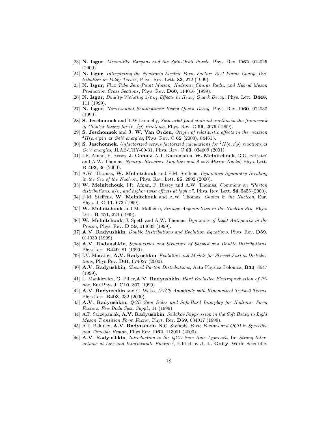- [23] **N. Isgur**, *Meson-like Baryons and the Spin-Orbit Puzzle*, Phys. Rev. **D62**, 014025  $(2000).$
- [24] **N. Isgur**, *Interpreting the Neutron's Electric Form Factor: Rest Frame Charge Distribution or Foldy Term?*, Phys. Rev. Lett. **83**, 272 (1999).
- [25] **N. Isgur**, *Flux Tube Zero-Point Motion, Hadronic Charge Radii, and Hybrid Meson Production Cross Sections*, Phys. Rev. **D60**, 114016 (1999).
- [26] **N. Isgur**, *Duality-Violating* 1/m<sup>Q</sup> *Effects in Heavy Quark Decay*, Phys. Lett. **B448**, 111 (1999).
- [27] **N. Isgur**, *Nonresonant Semileptonic Heavy Quark Decay*, Phys. Rev. **D60**, 074030 (1999).
- [28] **S. Jeschonnek** and T.W.Donnelly, *Spin-orbit final state interaction in the framework of Glauber theory for*  $(e, e'p)$  *reactions*, Phys. Rev. C **59**, 2676 (1999).
- [29] **S. Jeschonnek** and **J. W. Van Orden**, *Origin of relativistic effects in the reaction*  $^{2}H(e, e'p)n$  *at GeV energies*, Phys. Rev. C **62** (2000), 044613.
- [30] **S. Jeschonnek**, *Unfactorized versus factorized calculations for*  ${}^2H(e,e'p)$  *reactions at GeV energies*, JLAB-THY-00-31, Phys. Rev. C **63**, 034609 (2001).
- [31] I.R. Afnan, F. Bissey, **J. Gomez**, A.T. Katramatou, **W. Melnitchouk**, G.G. Petratos and A.W. Thomas, *Neutron Structure Function and* A = 3 *Mirror Nuclei*, Phys. Lett. **B 493**, 36 (2000).
- [32] A.W. Thomas, **W. Melnitchouk** and F.M. Steffens, *Dynamical Symmetry Breaking in the Sea of the Nucleon*, Phys. Rev. Lett. **85**, 2892 (2000).
- [33] **W. Melnitchouk**, I.R. Afnan, F. Bissey and A.W. Thomas, *Comment on "Parton distributions,* d/u*, and higher twist effects at high* x*"*, Phys. Rev. Lett. **84**, 5455 (2000).
- [34] F.M. Steffens, **W. Melnitchouk** and A.W. Thomas, *Charm in the Nucleon*, Eur. Phys. J. **C 11**, 673 (1999).
- [35] **W. Melnitchouk** and M. Malheiro, *Strange Asymmetries in the Nucleon Sea*, Phys. Lett. **B 451**, 224 (1999).
- [36] **W. Melnitchouk**, J. Speth and A.W. Thomas, *Dynamics of Light Antiquarks in the Proton*, Phys. Rev. **D 59**, 014033 (1999).
- [37] **A.V. Radyushkin**, *Double Distributions and Evolution Equations*, Phys. Rev. **D59**, 014030 (1999).
- [38] **A.V. Radyushkin**, *Symmetries and Structure of Skewed and Double Distributions*, Phys.Lett. **B449**, 81 (1999).
- [39] I.V. Musatov, **A.V. Radyushkin**, *Evolution and Models for Skewed Parton Distributions*, Phys.Rev. **D61**, 074027 (2000).
- [40] **A.V. Radyushkin**, *Skewed Parton Distributions*, Acta Physica Polonica, **B30**, 3647 (1999).
- [41] L. Mankiewicz, G. Piller,**A.V. Radyushkin**, *Hard Exclusive Electroproduction of Pions*, Eur.Phys.J. **C10**, 307 (1999).
- [42] **A.V. Radyushkin** and C. Weiss, *DVCSAmplitude with Kinematical Twist-3 Terms*, Phys.Lett. **B493**, 332 (2000).
- [43] **A.V. Radyushkin**, *QCD Sum Rules and Soft-Hard Interplay for Hadronic Form Factors*, *Few Body Syst. Suppl.*, 11 (1999).
- [44] A.P. Szczepaniak, **A.V. Radyushkin**, *Sudakov Suppression in the Soft Heavy to Light Meson Transition Form Factor*, Phys. Rev. **D59**, 034017 (1999).
- [45] A.P. Bakulev, **A.V. Radyushkin**, N.G. Stefanis, *Form Factors and QCD in Spacelike and Timelike Region*, Phys.Rev. **D62**, 113001 (2000).
- [46] **A.V. Radyushkin**, *Introduction to the QCD Sum Rule Approach*, In: *Strong Interactions at Low and Intermediate Energies*, Edited by **J. L. Goity**, World Scientific,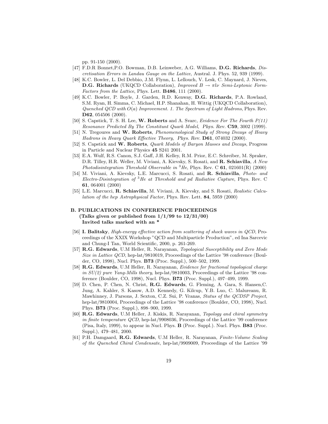pp. 91-150 (2000).

- [47] F.D.R Bonnet,P.O. Bowman, D.B. Leinweber, A.G. Williams, **D.G. Richards**, *Discretisation Errors in Landau Gauge on the Lattice*, Austral. J. Phys. 52, 939 (1999).
- [48] K.C. Bowler, L. Del Debbio, J.M. Flynn, L. Lellouch, V. Lesk, C. Maynard, J. Nieves, **D.G. Richards** (UKQCD Collaboration), *Improved*  $B \to \pi l \nu$  *Semi-Leptonic Form-Factors from the Lattice*, Phys. Lett. **B486**, 111 (2000).
- [49] K.C. Bowler, P. Boyle, J. Garden, R.D. Kenway, **D.G. Richards**, P.A. Rowland, S.M. Ryan, H. Simma, C. Michael, H.P. Shanahan, H. Wittig (UKQCD Collaboration), *Quenched QCD with* O(a) *Improvement. 1. The Spectrum of Light Hadrons*, Phys. Rev. **D62**, 054506 (2000).
- [50] S. Capstick, T. S. H. Lee, **W. Roberts** and A. Svarc, *Evidence For The Fourth P(11) Resonance Predicted By The Constitunt Quark Model*, *Phys. Rev.* **C59**, 3002 (1999).
- [51] N. Tregoures and **W. Roberts**, *Phenomenological Study of Strong Decays of Heavy Hadrons in Heavy Quark Effective Theory*, *Phys. Rev.* **D61**, 074032 (2000).
- [52] S. Capstick and **W. Roberts**, *Quark Models of Baryon Masses and Decays*, Progress in Particle and Nuclear Physics **45** S241 2001.
- [53] E.A. Wulf, R.S. Canon, S.J. Gaff, J.H. Kelley, R.M. Prior, E.C. Schreiber, M. Spraker, D.R. Tilley, H.R. Weller, M. Viviani, A. Kievsky, S. Rosati, and **R. Schiavilla**, *A New Photodisintegration Threshold Observable in* <sup>3</sup>*He*, Phys. Rev. C **61**, 021601(R) (2000)
- [54] M. Viviani, A. Kievsky, L.E. Marcucci, S. Rosati, and **R. Schiavilla**, *Photo- and Electro-Disintegration of* <sup>3</sup>*He at Threshold and* pd *Radiative Capture*, Phys. Rev. C **61**, 064001 (2000)
- [55] L.E. Marcucci, **R. Schiavilla**, M. Viviani, A. Kievsky, and S. Rosati, *Realistic Calculation of the* hep *Astrophysical Factor*, Phys. Rev. Lett. **84**, 5959 (2000)

## **B. PUBLICATIONS IN CONFERENCE PROCEEDINGS (Talks given or published from 1/1/99 to 12/31/00) Invited talks marked with an \***

- [56] **I. Balitsky**, *High-energy effective action from scattering of shock waves in QCD*, Proceedings of the XXIX Workshop "QCD and Multiparticle Production", ed Ina Sarcevic and Chung-I Tan, World Scientific, 2000, p. 261-269.
- [57] **R.G. Edwards**, U.M Heller, R. Narayanan, *Topological Susceptibility and Zero Mode Size in Lattice QCD*, hep-lat/9810019, Proceedings of the Lattice '98 conference (Boulder, CO, 1998), Nucl. Phys. **B73** (Proc. Suppl.), 500–502, 1999.
- [58] **R.G. Edwards**, U.M Heller, R. Narayanan, *Evidence for fractional topological charge in SU(2) pure Yang-Mills theory*, hep-lat/9810003, Proceedings of the Lattice '98 conference (Boulder, CO, 1998), Nucl. Phys. **B73** (Proc. Suppl.), 497–499, 1999.
- [59] D. Chen, P. Chen, N. Christ, **R.G. Edwards**, G. Fleming, A. Gara, S. Hansen,C. Jung, A. Kahler, S. Kasow, A.D. Kennedy, G. Kilcup, Y.B. Luo, C. Malureanu, R. Mawhinney, J. Parsons, J. Sexton, C.Z. Sui, P. Vranas, *Status of the QCDSP Project*, hep-lat/9810004, Proceedings of the Lattice '98 conference (Boulder, CO, 1998), Nucl. Phys. **B73** (Proc. Suppl.), 898–900, 1999.
- [60] **R.G. Edwards**, U.M Heller, J. Kiskis, R. Narayanan, *Topology and chiral symmetry in finite temperature QCD*, hep-lat/9908036, Proceedings of the Lattice '99 conference (Pisa, Italy, 1999), to appear in Nucl. Phys. **B** (Proc. Suppl.). Nucl. Phys. **B83** (Proc. Suppl.), 479–481, 2000.
- [61] P.H. Damgaard, **R.G. Edwards**, U.M Heller, R. Narayanan, *Finite-Volume Scaling of the Quenched Chiral Condensate*, hep-lat/9909009, Proceedings of the Lattice '99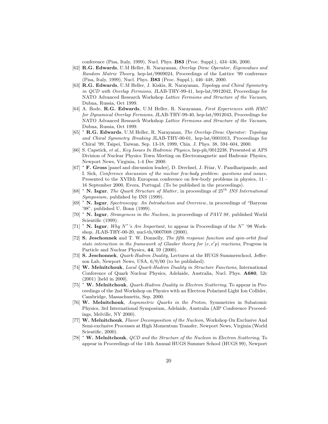conference (Pisa, Italy, 1999), Nucl. Phys. **B83** (Proc. Suppl.), 434–436, 2000.

- [62] **R.G. Edwards**, U.M Heller, R. Narayanan, *Overlap Dirac Operator, Eigenvalues and Random Matrix Theory*, hep-lat/9909024, Proceedings of the Lattice '99 conference (Pisa, Italy, 1999), Nucl. Phys. **B83** (Proc. Suppl.), 446–448, 2000.
- [63] **R.G. Edwards**, U.M Heller, J. Kiskis, R. Narayanan, *Topology and Chiral Symmetry in QCD with Overlap Fermions*, JLAB-THY-99-41, hep-lat/9912042, Proceedings for NATO Advanced Research Workshop *Lattice Fermions and Structure of the Vacuum*, Dubna, Russia, Oct 1999.
- [64] A. Bode, **R.G. Edwards**, U.M Heller, R. Narayanan, *First Experiences with HMC for Dynamical Overlap Fermions*, JLAB-THY-99-40, hep-lat/9912043, Proceedings for NATO Advanced Research Workshop *Lattice Fermions and Structure of the Vacuum*, Dubna, Russia, Oct 1999.
- [65] <sup>∗</sup> **R.G. Edwards**, U.M Heller, R. Narayanan, *The Overlap-Dirac Operator: Topology and Chiral Symmetry Breaking* JLAB-THY-00-01, hep-lat/0001013, Proceedings for Chiral '99, Taipei, Taiwan, Sep. 13-18, 1999, Chin. J. Phys. 38, 594–604, 2000.
- [66] S. Capstick, *et al.*, *Key Issues In Hadronic Physics*, hep-ph/0012238, Presented at APS Division of Nuclear Physics Town Meeting on Electromagnetic and Hadronic Physics, Newport News, Virginia, 1-4 Dec 2000.
- [67] <sup>∗</sup> **F. Gross** [panel and discussion leader], D. Drechsel, J. Friar, V. Pandharipande, and I. Sick, *Conference discussion of the nuclear few-body problem: questions and issues*, Presented to the XVIIth European conference on few-body problems in physics, 11 - 16 September 2000, Evora, Portugal. (To be published in the proceedings).
- [68]  $*$  **N. Isgur**, *The Quark Structure of Matter*, in proceedings of 25<sup>th</sup> *INS International Symposium*, published by INS (1999).
- [69] <sup>∗</sup> **N. Isgur**, *Spectroscopy: An Introduction and Overview*, in proceedings of "Baryons '98", published U. Bonn (1999).
- [70] <sup>∗</sup> **N. Isgur**, *Strangeness in the Nucleon*, in proceedings of *PAVI 98* , published World Scientific (1999).
- [71] <sup>∗</sup> **N. Isgur**, *Why* N∗*'s Are Important*, to appear in Proceedings of the N<sup>∗</sup> '98 Workshop, JLAB-THY-00-20, nucl-th/0007008 (2000).
- [72] **S. Jeschonnek** and T. W. Donnelly, *The fifth response function and spin-orbit final state interaction in the framework of Glauber theory for*  $(e, e'p)$  *reactions*, Progress in Particle and Nuclear Physics, **44**, 59 (2000).
- [73] **S. Jeschonnek**, *Quark-Hadron Duality*, Lectures at the HUGS Summerschool, Jefferson Lab, Newport News, USA, 6/9/00 (to be published).
- [74] **W. Melnitchouk**, *Local Quark-Hadron Duality in Structure Functions*, International Conference of Quark Nuclear Physics, Adelaide, Australia, Nucl. Phys. **A680**, 52c (2001) [held in 2000].
- [75] <sup>∗</sup> **W. Melnitchouk**, *Quark-Hadron Duality in Electron Scattering*, To appear in Proceedings of the 2nd Workshop on Physics with an Electron Polarized Light Ion Collider, Cambridge, Massachusetts, Sep. 2000.
- [76] **W. Melnitchouk**, *Asymmetric Quarks in the Proton*, Symmetries in Subatomic Physics, 3rd International Symposium, Adelaide, Australia (AIP Conference Proceedings, Melville, NY 2000).
- [77] **W. Melnitchouk**, *Flavor Decomposition of the Nucleon*, Workshop On Exclusive And Semi-exclusive Processes at High Momentum Transfer, Newport News, Virginia (World Scientific, 2000).
- [78] <sup>∗</sup> **W. Melnitchouk**, *QCD and the Structure of the Nucleon in Electron Scattering*, To appear in Proceedings of the 14th Annual HUGS Summer School (HUGS 99), Newport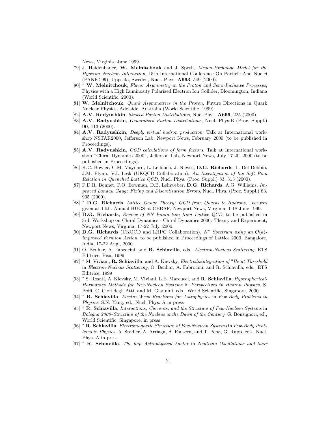News, Virginia, June 1999.

- [79] J. Haidenbauer, **W. Melnitchouk** and J. Speth, *Meson-Exchange Model for the Hyperon–Nucleon Interaction*, 15th International Conference On Particle And Nuclei (PANIC 99), Uppsala, Sweden, Nucl. Phys. **A663**, 549 (2000).
- [80] <sup>∗</sup> **W. Melnitchouk**, *Flavor Asymmetry in the Proton and Semi-Inclusive Processes*, Physics with a High Luminosity Polarized Electron Ion Collider, Bloomington, Indiana (World Scientific, 2000).
- [81] **W. Melnitchouk**, *Quark Asymmetries in the Proton*, Future Directions in Quark Nuclear Physics, Adelaide, Australia (World Scientific, 1999).
- [82] **A.V. Radyushkin**, *Skewed Parton Distributions*, Nucl.Phys. **A666**, 225 (2000).
- [83] **A.V. Radyushkin**, *Generalized Parton Distributions*, Nucl. Phys.B (Proc. Suppl.) **90**, 113 (2000).
- [84] **A.V. Radyushkin**, *Deeply virtual hadron production*, Talk at International workshop NSTAR2000, Jefferson Lab, Newport News, February 2000 (to be published in Proceedings).
- [85] **A.V. Radyushkin**, *QCD calculations of form factors*, Talk at International workshop "Chiral Dynamics 2000", Jefferson Lab, Newport News, July 17-20, 2000 (to be published in Proceedings).
- [86] K.C. Bowler, C.M. Maynard, L. Lellouch, J. Nieves, **D.G. Richards**, L. Del Debbio, J.M. Flynn, V.I. Lesk (UKQCD Collaboration), *An Investigation of the Soft Pion Relation in Quenched Lattice QCD*, Nucl. Phys. (Proc. Suppl.) 83, 313 (2000).
- [87] F.D.R. Bonnet, P.O. Bowman, D.B. Leinweber, **D.G. Richards**, A.G. Williams, *Improved Landau Gauge Fixing and Discretisation Errors*, Nucl. Phys. (Proc. Suppl.) 83, 905 (2000).
- [88] <sup>∗</sup> **D.G. Richards**, *Lattice Gauge Theory: QCD from Quarks to Hadrons*, Lectures given at 14th. Annual HUGS at CEBAF, Newport News, Virginia, 1-18 June 1999.
- [89] **D.G. Richards**, *Review of NN Interaction from Lattice QCD*, to be published in 3rd. Workshop on Chiral Dynamics - Chiral Dynamics 2000: Theory and Experiment, Newport News, Virginia, 17-22 July, 2000.
- [90] **D.G. Richards** (UKQCD and LHPC Collaboration), N<sup>∗</sup> *Spectrum using an* O(a) *improved Fermion Action*, to be published in Proceedings of Lattice 2000, Bangalore, India, 17-22 Aug., 2000.
- [91] O. Benhar, A. Fabrocini, and **R. Schiavilla**, eds., *Electron-Nucleus Scattering*, ETS Editrice, Pisa, 1999
- [92] <sup>∗</sup> M. Viviani, **R. Schiavilla**, and A. Kievsky, *Electrodisintegration of* <sup>3</sup>*He at Threshold* in *Electron-Nucleus Scattering*, O. Benhar, A. Fabrocini, and R. Schiavilla, eds., ETS Editrice, 1999
- [93] <sup>∗</sup> S. Rosati, A. Kievsky, M. Viviani, L.E. Marcucci, and **R. Schiavilla**, *Hyperspherical-Harmonics Methods for Few-Nucleon Systems* in *Perspectives in Hadron Physics*, S. Boffi, C. Ciofi degli Atti, and M. Giannini, eds., World Scientific, Singapore, 2000
- [94] <sup>∗</sup> **R. Schiavilla**, *Electro-Weak Reactions for Astrophysics* in *Few-Body Problems in Physics*, S.N. Yang, ed., Nucl. Phys. A in press
- [95] <sup>∗</sup> **R. Schiavilla**, *Interactions, Currents, and the Structure of Few-Nucleon Systems* in *Bologna 2000–Structure of the Nucleus at the Dawn of the Century*, G. Bonsignori, ed., World Scientific, Singapore, in press
- [96] <sup>∗</sup> **R. Schiavilla**, *Electromagnetic Structure of Few-Nucleon Systems* in *Few-Body Problems in Physics*, A. Stadler, A. Arriaga, A. Fonseca, and T. Pena, G. Rupp, eds., Nucl. Phys. A in press
- [97] <sup>∗</sup> **R. Schiavilla**, *The* hep *Astrophysical Factor* in *Neutrino Oscillations and their*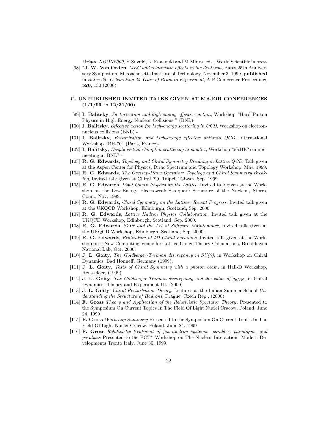*Origin–NOON2000*, Y.Suzuki, K.Kaneyuki and M.Miura, eds., World Scientific in press

[98] <sup>∗</sup>**J. W. Van Orden**, *MEC and relativistic effects in the deuteron*, Bates 25th Anniversary Symposium, Massachusetts Institute of Technology, November 3, 1999. **published** in *Bates 25: Celebrating 25 Years of Beam to Experiment*, AIP Conference Proceedings **520**, 130 (2000).

#### **C. UNPUBLISHED INVITED TALKS GIVEN AT MAJOR CONFERENCES (1/1/99 to 12/31/00)**

- [99] **I. Balitsky**, *Factorization and high-energy effective action*, Workshop "Hard Parton Physics in High-Energy Nuclear Collisions " (BNL)-
- [100] **I. Balitsky**, *Effective action for high-energy scattering in QCD*, Workshop on electronnucleus collisions (BNL) -
- [101] **I. Balitsky**, *Factorization and high-energy effective actionin QCD*, International Workshop "BH-70" (Paris, France)-
- [102] **I. Balitsky**, *Deeply virtual Compton scattering at small x*, Workshop "eRHIC summer meeting at BNL" -
- [103] **R. G. Edwards**, *Topology and Chiral Symmetry Breaking in Lattice QCD*, Talk given at the Aspen Center for Physics, Dirac Spectrum and Topology Workshop, May. 1999.
- [104] **R. G. Edwards**, *The Overlap-Dirac Operator: Topology and Chiral Symmetry Breaking*, Invited talk given at Chiral '99, Taipei, Taiwan, Sep. 1999.
- [105] **R. G. Edwards**, *Light Quark Physics on the Lattice*, Invited talk given at the Workshop on the Low-Energy Electroweak Sea-quark Structure of the Nucleon, Storrs, Conn., Nov. 1999.
- [106] **R. G. Edwards**, *Chiral Symmetry on the Lattice: Recent Progress*, Invited talk given at the UKQCD Workshop, Edinburgh, Scotland, Sep. 2000.
- [107] **R. G. Edwards**, *Lattice Hadron Physics Collaboration*, Invited talk given at the UKQCD Workshop, Edinburgh, Scotland, Sep. 2000.
- [108] **R. G. Edwards**, *SZIN and the Art of Software Maintenance*, Invited talk given at the UKQCD Workshop, Edinburgh, Scotland, Sep. 2000.
- [109] **R. G. Edwards**, *Realization of 4D Chiral Fermions*, Invited talk given at the Workshop on a New Computing Venue for Lattice Gauge Theory Calculations, Brookhaven National Lab, Oct. 2000.
- [110] **J. L. Goity**, *The Goldberger-Treiman discrepancy in SU(3)*, in Workshop on Chiral Dynamics, Bad Honneff, Germany (1999).
- [111] **J. L. Goity**, *Tests of Chiral Symmetry with a photon beam*, in Hall-D Workshop, Rensselaer, (1999)
- [112] **J. L. Goity**, *The Goldberger-Treiman discrepancy and the value of*  $g_{\pi NN}$ , in Chiral Dynamics: Theory and Experiment III, (2000)
- [113] **J. L. Goity**, *Chiral Perturbation Theory*, Lectures at the Indian Summer School *Understanding the Structure of Hadrons*, Prague, Czech Rep., (2000).
- [114] **F. Gross** *Theory and Application of the Relativistic Spectator Theory*, Presented to the Symposium On Current Topics In The Field Of Light Nuclei Cracow, Poland, June 24, 1999
- [115] **F. Gross** *Workshop Summary* Presented to the Symposium On Current Topics In The Field Of Light Nuclei Cracow, Poland, June 24, 1999
- [116] **F. Gross** *Relativistic treatment of few-nucleon systems: parables, paradigms, and paralysis* Presented to the ECT\* Workshop on The Nuclear Interaction: Modern Developments Trento Italy, June 30, 1999.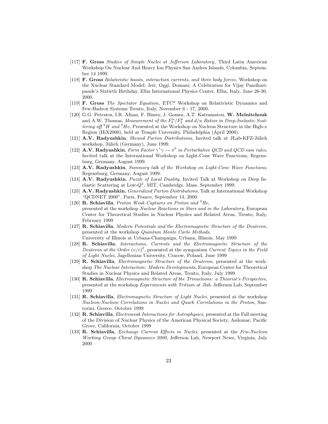- [117] **F. Gross** *Studies of Simple Nuclei at Jefferson Laboratory*, Third Latin American Workshop On Nuclear And Heavy Ion Physics San Andres Islands, Colombia, September 14 1999.
- [118] **F. Gross** *Relativistic boosts, interaction currents, and three body forces*, Workshop on the Nuclear Standard Model: Ieri, Oggi, Domani; A Celebration for Vijay Pandharipande's Sixtieth Birthday, Elba International Physics Center, Elba, Italy, June 26-30, 2000.
- [119] **F. Gross** *The Spectator Equation*, ETC\* Workshop on Relativistic Dynamics and Few-Hadron Systems Trento, Italy, November 6 - 17, 2000.
- [120] G.G. Petratos, I.R. Afnan, F. Bissey, J. Gomez, A.T. Katramatou, **W. Melnitchouk** and A.W. Thomas, *Measurement of the*  $F_2^n / F_2^p$  *and d/u Ratios in Deep-Inelastic Scattering off*  ${}^{3}H$  *and*  ${}^{3}He$ , Presented at the Workshop on Nucleon Structure in the High-x Region (HiX2000), held at Temple University, Philadelphia (April 2000).
- [121] **A.V. Radyushkin**, *Skewed Parton Distributions*, Invited talk at JLab-KFZ-Jülich workshop, Jülich (Germany), June 1999.
- [122] **A.V. Radyushkin**, *Form Factor*  $\gamma^* \gamma \to \pi^0$  *in Perturbative QCD and QCD sum rules*, Invited talk at the International Workshop on Light-Cone Wave Functions, Regensburg, Germany, August 1999.
- [123] **A.V. Radyushkin**, *Summary talk of the Workshop on Light-Cone Wave Functions*, Regensburg, Germany, August 1999.
- [124] **A.V. Radyushkin**, *Puzzle of Local Duality*, Invited Talk at Workshop on Deep Inelastic Scattering at Low- $Q^2$ , MIT, Cambridge, Mass. September 1999.
- [125] **A.V. Radyushkin**, *Generalized Parton Distributions*, Talk at International Workshop "QCDNET 2000", Paris, France, September 14, 2000.
- [126] **R. Schiavilla**, *Proton Weak Captures on Proton and* <sup>3</sup>*He*, presented at the workshop *Nuclear Reactions in Stars and in the Laboratory*, European Center for Theoretical Studies in Nuclear Physics and Related Areas, Trento, Italy, February 1999
- [127] **R. Schiavilla**, *Modern Potentials and the Electromagnetic Structure of the Deuteron*, presented at the workshop *Quantum Monte Carlo Methods*, University of Illinois at Urbana-Champaign, Urbana, Illinois, May 1999
- [128] **R. Schiavilla**, *Interactions, Currents and the Electromagnetic Structure of the* Deuteron at the Order  $(v/c)^2$ , presented at the symposium *Current Topics in the Field of Light Nuclei*, Jagellonian University, Cracow, Poland, June 1999
- [129] **R. Schiavilla**, *Electromagnetic Structure of the Deuteron*, presented at the workshop *The Nuclear Interaction: Modern Developments*, European Center for Theoretical Studies in Nuclear Physics and Related Areas, Trento, Italy, July 1999
- [130] **R. Schiavilla**, *Electromagnetic Structure of the Trinucleons: a Theorist's Perspective*, presented at the workshop *Experiments with Tritium at Jlab*, Jefferson Lab, September 1999
- [131] **R. Schiavilla**, *Electromagnetic Structure of Light Nuclei*, presented at the workshop *Nucleon-Nucleon Correlations in Nuclei and Quark Correlations in the Proton*, Santorini, Greece, October 1999
- [132] **R. Schiavilla**, *Electroweak Interactions for Astrophysics*, presented at the Fall meeting of the Division of Nuclear Physics of the American Physical Society, Asilomar, Pacific Grove, California, October 1999
- [133] **R. Schiavilla**, *Exchange Current Effects in Nuclei*, presented at the *Few-Nucleon Working Group–Chiral Dynamics 2000*, Jefferson Lab, Newport News, Virginia, July 2000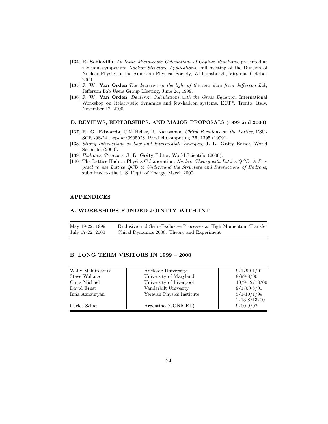- [134] **R. Schiavilla**, *Ab Initio Microscopic Calculations of Capture Reactions*, presented at the mini-symposium *Nuclear Structure Applications*, Fall meeting of the Division of Nuclear Physics of the American Physical Society, Williamsburgh, Virginia, October 2000
- [135] **J. W. Van Orden**,*The deuteron in the light of the new data from Jefferson Lab*, Jefferson Lab Users Group Meeting, June 24, 1999.
- [136] **J. W. Van Orden**, *Deuteron Calculations with the Gross Equation*, International Workshop on Relativistic dynamics and few-hadron systems, ECT\*, Trento, Italy, November 17, 2000

#### **D. REVIEWS, EDITORSHIPS. AND MAJOR PROPOSALS (1999 and 2000)**

- [137] **R. G. Edwards**, U.M Heller, R. Narayanan, *Chiral Fermions on the Lattice*, FSU-SCRI-98-24, hep-lat/9905028, Parallel Computing **25**, 1395 (1999).
- [138] *Strong Interactions at Low and Intermediate Energies*, **J. L. Goity** Editor. World Scientific (2000).
- [139] *Hadronic Structure*, **J. L. Goity** Editor. World Scientific (2000).
- [140] The Lattice Hadron Physics Collaboration, *Nuclear Theory with Lattice QCD: A Proposal to use Lattice QCD to Understand the Structure and Interactions of Hadrons*, submitted to the U.S. Dept. of Energy, March 2000.

## **APPENDICES**

## **A. WORKSHOPS FUNDED JOINTLY WITH INT**

May 19-22, 1999 Exclusive and Semi-Exclusive Processes at High Momentum Transfer July 17-22, 2000 Chiral Dynamics 2000: Theory and Experiment

#### **B. LONG TERM VISITORS IN 1999 – 2000**

| Wally Melnitchouk | Adelaide University       | $9/1/99-1/01$     |
|-------------------|---------------------------|-------------------|
| Steve Wallace     | University of Maryland    | $8/99 - 8/00$     |
| Chris Michael     | University of Liverpool   | $10/9 - 12/18/00$ |
| David Ernst       | Vanderbilt Univesity      | $9/1/00-8/01$     |
| Inna Aznauryan    | Yerevan Physics Institute | $5/1 - 10/1/99$   |
|                   |                           | $2/13 - 8/13/00$  |
| Carlos Schat      | Argentina (CONICET)       | $9/00-9/02$       |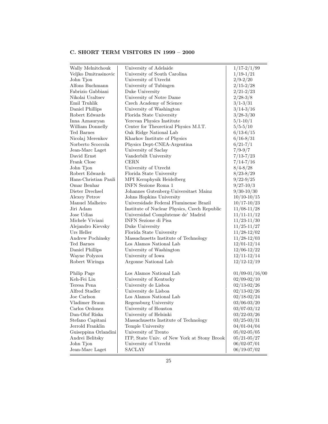# **C. SHORT TERM VISITORS IN 1999 – 2000**

| Wally Melnitchouk    | University of Adelaide                       | $1/17 - 2/1/99$    |
|----------------------|----------------------------------------------|--------------------|
| Veljko Dmitrasinovic | University of South Carolina                 | $1/19-1/21$        |
| John Tjon            | University of Utrecht                        | $2/9 - 2/20$       |
| Alfons Buchmann      | University of Tubingen                       | $2/15 - 2/28$      |
| Fabrizio Gabbiani    | Duke University                              | $2/21 - 2/23$      |
| Nikolai Uraltsev     | University of Notre Dame                     | $2/28-3/8$         |
| Emil Truhlik         | Czech Academy of Science                     | $3/1 - 3/31$       |
| Daniel Phillips      | University of Washington                     | $3/14 - 3/16$      |
| Robert Edwards       | Florida State University                     | $3/28 - 3/30$      |
| Inna Aznauryan       | Yerevan Physics Institute                    | $5/1 - 10/1$       |
| William Donnelly     | Center for Theoretical Physics M.I.T.        | $5/5 - 5/10$       |
| Ted Barnes           | Oak Ridge National Lab                       | $6/13 - 6/15$      |
| Nicolaj Merenkov     | Kharkov Institute of Physics                 | $6/16 - 8/31$      |
| Norberto Scoccola    | Physics Dept-CNEA-Argentina                  | $6/21 - 7/1$       |
| Jean-Marc Laget      | University of Saclay                         | $7/9 - 9/7$        |
| David Ernst          | Vanderbilt University                        | $7/13 - 7/23$      |
| Frank Close          | <b>CERN</b>                                  | $7/14 - 7/16$      |
| John Tjon            | University of Utrecht                        | $8/4 - 8/28$       |
| Robert Edwards       | Florida State University                     | $8/23 - 8/29$      |
| Hans-Christian Pauli | MPI Kernphysik Heidelberg                    | $9/22 - 9/25$      |
| Omar Benhar          | <b>INFN</b> Sezione Roma 1                   | $9/27 - 10/3$      |
| Dieter Drechsel      | Johannes Gutenberg-Universitaet Mainz        | $9/30 - 10/30$     |
| <b>Alexey Petrov</b> | Johns Hopkins University                     | $10/10 - 10/15$    |
| Manuel Malheiro      | Universidade Federal Fluminense Brazil       | $10/17 - 10/23$    |
| Jiri Adam            | Institute of Nuclear Physics, Czech Republic | $11/08 - 11/28$    |
| Jose Udias           | Universidad Complutense de' Madrid           | $11/11 - 11/12$    |
| Michele Viviani      | INFN Sezione di Pisa                         | $11/23 - 11/30$    |
| Alejandro Kievsky    | Duke University                              | $11/25 - 11/27$    |
| Urs Heller           | Florida State University                     | $11/28-12/02$      |
| Andrew Pochinsky     | Massachusetts Institute of Technology        | $11/28 - 12/03$    |
| Ted Barnes           | Los Alamos National Lab                      | $12/01 - 12/14$    |
| Daniel Phillips      | University of Washington                     | $12/06 - 12/22$    |
|                      | University of Iowa                           | $12/11 - 12/14$    |
| Wayne Polyzou        | Argonne National Lab                         |                    |
| Robert Wiringa       |                                              | $12/12 - 12/19$    |
| Philip Page          | Los Alamos National Lab                      | $01/09 - 01/16/00$ |
| Keh-Fei Liu          | University of Kentucky                       | $02/09 - 02/10$    |
| Teresa Pena          | University de Lisboa                         | $02/13 - 02/26$    |
| Alfred Stadler       | University de Lisboa                         | $02/13 - 02/26$    |
| Joe Carlson          | Los Alamos National Lab                      | $02/18 - 02/24$    |
| Vladimer Braun       | Regensburg University                        | $03/06 - 03/20$    |
| Carlos Ordonez       | University of Houston                        | $03/07 - 03/12$    |
| Dan-Olof Riska       | University of Helsinki                       | $03/22 - 03/26$    |
| Stefano Capitani     | Massachusetts Institute of Technology        | $03/25 - 03/31$    |
| Jerrold Franklin     | Temple University                            | $04/01 - 04/04$    |
| Guiseppina Orlandini | University of Trento                         | $05/02 - 05/05$    |
| Andrei Belitsky      | ITP, State Univ. of New York at Stony Brook  | $05/21 - 05/27$    |
| John Tjon            | University of Utrecht                        | $06/02 - 07/01$    |
| Jean-Marc Laget      | <b>SACLAY</b>                                | $06/19 - 07/02$    |
|                      |                                              |                    |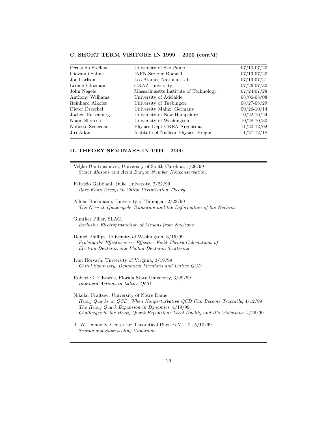| Fernando Steffens | University of Sao Paulo               | $07/10 - 07/20$ |
|-------------------|---------------------------------------|-----------------|
| Giovanni Salme    | <b>INFN-Sezione Roma 1</b>            | $07/13 - 07/20$ |
| Joe Carlson       | Los Alamos National Lab               | $07/13 - 07/21$ |
| Leonid Glozman    | <b>GRAZ</b> University                | $07/26 - 07/30$ |
| John Negele       | Massachusetts Institute of Technology | $07/24 - 07/28$ |
| Anthony Williams  | University of Adelaide                | $08/06 - 08/08$ |
| Reinhard Alkofer  | University of Tuebingen               | $08/27 - 08/29$ |
| Dieter Dreschel   | University Mainz, Germany             | $09/26 - 10/14$ |
| Jochen Heisenberg | University of New Hampshire           | $10/22 - 10/24$ |
| Noam Shoresh      | University of Washington              | $10/28 - 10/30$ |
| Noberto Scoccola  | Physics Dept-CNEA-Argentina           | $11/20 - 12/02$ |
| Jiri Adam         | Institute of Nuclear Physics, Prague  | $11/27 - 12/18$ |
|                   |                                       |                 |

# **C. SHORT TERM VISITORS IN 1999 – 2000 (cont'd)**

# **D. THEORY SEMINARS IN 1999 – 2000**

| Veljko Dmitrasinovic, University of South Carolina, 1/20/99<br>Scalar Mesons and Axial Baryon Number Nonconservation.                                                         |
|-------------------------------------------------------------------------------------------------------------------------------------------------------------------------------|
| Fabrizio Gabbiani, Duke University, 2/22/99<br>Rare Kaon Decays in Chiral Perturbation Theory                                                                                 |
| Alfons Buchmann, University of Tubingen, 2/23/99<br>The $N \to \Delta$ Quadrupole Transition and the Deformation of the Nucleon                                               |
| Gunther Piller, SLAC,<br>Exclusive Electroproduction of Mesons from Nucleons                                                                                                  |
| Daniel Phillips, University of Washington, $3/15/99$<br>Probing the Effectiveness: Effective Field Theory Calculations of<br>Electron-Deuteron and Photon-Deuteron Scattering |
| Ivan Horvath, University of Virginia, 3/19/99<br>Chiral Symmetry, Dynamical Fermions and Lattice QCD                                                                          |
| Robert G. Edwards, Florida State University, 3/29/99<br><i>Improved Actions in Lattice QCD</i>                                                                                |
| Nikolai Uraltsev, University of Notre Dame<br>Heavy Quarks in QCD: When Nonperturbative QCD Can Become Tractable, 4/12/99<br>The Heavy Quark Expansion in Dynamics, $4/19/99$ |

- *Challenges in the Heavy Quark Expansion: Local Duality and It's Violations*, 4/26/99
- T. W. Donnelly, Center for Theoretical Physics M.I.T., 5/10/99 *Scaling and Superscaling Violations*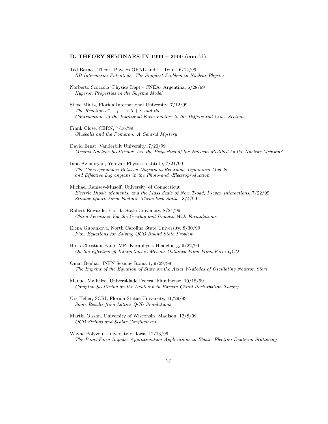#### **D. THEORY SEMINARS IN 1999 – 2000 (cont'd)**

- Ted Barnes, Theor. Physics ORNL and U. Tenn., 6/14/99 *BB Intermeson Potentials: The Simplest Problem in Nuclear Physics*
- Norberto Scoccola, Physics Dept CNEA- Argentina, 6/28/99 *Hyperon Properties in the Skyrme Model*
- Steve Mintz, Florida International University, 7/12/99 *The Reaction*  $e^- + p \longrightarrow \Lambda + \nu$  *and the Contributions of the Individual Form Factors to the Differential Cross Section*
- Frank Close, CERN, 7/16/99 *Glueballs and the Pomeron: A Central Mystery*
- David Ernst, Vanderbilt University, 7/20/99 *Mesons-Nucleus Scattering: Are the Properties of the Nucleon Modified by the Nuclear Medium?*
- Inna Aznauryan, Yerevan Physics Institute, 7/21/99 *The Correspondence Between Dispersion Relations, Dynamical Models and Effective Lagrangians in the Photo-and -Electroproduction*
- Michael Ramsey-Musolf, University of Connecticut *Electric Dipole Moments, and the Mass Scale of New T-odd, P-even Interactions*, 7/22/99 *Strange Quark Form Factors: Theoretical Status*, 8/4/99
- Robert Edwards, Florida State University, 8/24/99 *Chiral Fermions Via the Overlap and Domain Wall Formulations*
- Elena Gubankova, North Carolina State University, 8/30/99 *Flow Equations for Solving QCD Bound State Problem*
- Hans-Christian Pauli, MPI Kernphysik Heidelberg, 9/22/99 *On the Effective* qq¯*-Interaction in Mesons Obtained From Front Form QCD*
- Omar Benhar, INFN Sezione Roma 1, 9/29/99 *The Imprint of the Equation of State on the Axial W-Modes of Oscillating Neutron Stars*
- Manuel Malheiro, Universidade Federal Fluminense, 10/18/99 *Compton Scattering on the Deuteron in Baryon Chiral Perturbation Theory*
- Urs Heller, SCRI, Florida Statae University, 11/29/99 *Some Results from Lattice QCD Simulations*
- Martin Olsson, University of Wisconsin, Madison, 12/8/99 *QCD Strings and Scalar Confinement*
- Wayne Polyzou, University of Iowa, 12/13/99 *The Point-Form Impulse Approximation-Applications to Elastic Electron-Deuteron Scattering*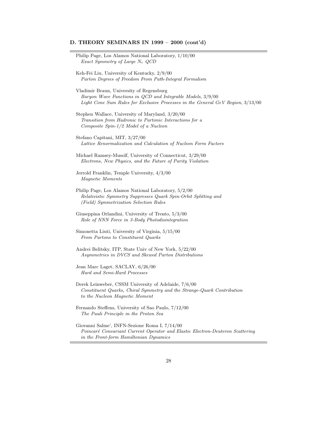# **D. THEORY SEMINARS IN 1999 – 2000 (cont'd)**

| Philip Page, Los Alamos National Laboratory, $1/10/00$<br>Exact Symmetry of Large $N_c$ QCD                                                                                               |  |
|-------------------------------------------------------------------------------------------------------------------------------------------------------------------------------------------|--|
| Keh-Fei Liu, University of Kentucky, 2/9/00<br>Parton Degrees of Freedom From Path-Integral Formalism                                                                                     |  |
| Vladimir Braun, University of Regensburg<br>Baryon Wave Functions in QCD and Integrable Models, 3/9/00<br>Light Cone Sum Rules for Exclusive Processes in the General GeV Region, 3/13/00 |  |
| Stephen Wallace, University of Maryland, $3/20/00$<br>Transition from Hadronic to Partonic Interactions for a<br>Composite Spin-1/2 Model of a Nucleon                                    |  |
| Stefano Capitani, MIT, 3/27/00<br>Lattice Renormalization and Calculation of Nucleon Form Factors                                                                                         |  |
| Michael Ramsey-Musolf, University of Connecticut, $3/29/00$<br>Electrons, New Physics, and the Future of Parity Violation                                                                 |  |
| Jerrold Franklin, Temple University, 4/3/00<br>Magnetic Moments                                                                                                                           |  |
| Philip Page, Los Alamos National Laboratory, $5/2/00$<br>Relativistic Symmetry Suppresses Quark Spin-Orbit Splitting and<br>(Field) Symmetrization Selection Rules                        |  |
| Giuseppina Orlandini, University of Trento, 5/3/00<br>Role of NNN Force in 3-Body Photodisintegration                                                                                     |  |
| Simonetta Liuti, University of Virginia, 5/15/00<br>From Partons to Constituent Quarks                                                                                                    |  |
| Andrei Belitsky, ITP, State Univ of New York, $5/22/00$<br>Asymmetries in DVCS and Skewed Parton Distributions                                                                            |  |
| Jean Marc Laget, SACLAY, 6/26/00<br>Hard and Semi-Hard Processes                                                                                                                          |  |
| Derek Leinweber, CSSM University of Adelaide, 7/6/00<br>Constituent Quarks, Chiral Symmetry and the Strange-Quark Contribution<br>to the Nucleon Magnetic Moment                          |  |
| Fernando Steffens, University of Sao Paulo, 7/12/00<br>The Pauli Principle in the Proton Sea                                                                                              |  |
| Giovanni Salme', INFN-Sezione Roma I, 7/14/00<br>Poincaré Convariant Current Operator and Elastic Electron-Deuteron Scattering                                                            |  |

*in the Front-form Hamiltonian Dynamics*

Ξ